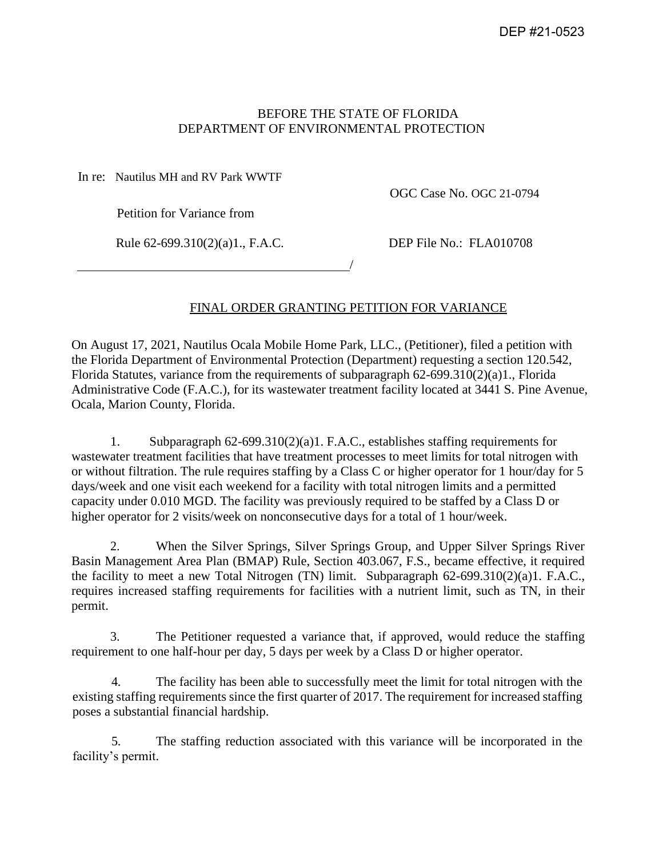# BEFORE THE STATE OF FLORIDA DEPARTMENT OF ENVIRONMENTAL PROTECTION

In re: Nautilus MH and RV Park WWTF

OGC Case No. OGC 21-0794

Petition for Variance from

Rule 62-699.310(2)(a)1., F.A.C. DEP File No.: FLA010708

# FINAL ORDER GRANTING PETITION FOR VARIANCE

/

On August 17, 2021, Nautilus Ocala Mobile Home Park, LLC., (Petitioner), filed a petition with the Florida Department of Environmental Protection (Department) requesting a section 120.542, Florida Statutes, variance from the requirements of subparagraph 62-699.310(2)(a)1., Florida Administrative Code (F.A.C.), for its wastewater treatment facility located at 3441 S. Pine Avenue, Ocala, Marion County, Florida.

1. Subparagraph 62-699.310(2)(a)1. F.A.C., establishes staffing requirements for wastewater treatment facilities that have treatment processes to meet limits for total nitrogen with or without filtration. The rule requires staffing by a Class C or higher operator for 1 hour/day for 5 days/week and one visit each weekend for a facility with total nitrogen limits and a permitted capacity under 0.010 MGD. The facility was previously required to be staffed by a Class D or higher operator for 2 visits/week on nonconsecutive days for a total of 1 hour/week.

2. When the Silver Springs, Silver Springs Group, and Upper Silver Springs River Basin Management Area Plan (BMAP) Rule, Section 403.067, F.S., became effective, it required the facility to meet a new Total Nitrogen (TN) limit. Subparagraph 62-699.310(2)(a)1. F.A.C., requires increased staffing requirements for facilities with a nutrient limit, such as TN, in their permit.

3. The Petitioner requested a variance that, if approved, would reduce the staffing requirement to one half-hour per day, 5 days per week by a Class D or higher operator.

4. The facility has been able to successfully meet the limit for total nitrogen with the existing staffing requirements since the first quarter of 2017. The requirement for increased staffing poses a substantial financial hardship.

5. The staffing reduction associated with this variance will be incorporated in the facility's permit.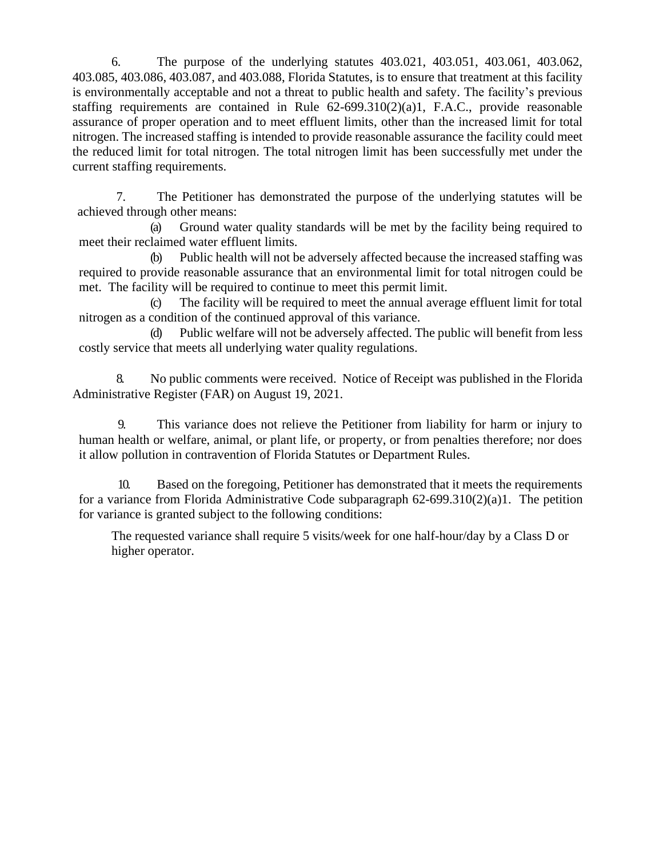6. The purpose of the underlying statutes 403.021, 403.051, 403.061, 403.062, 403.085, 403.086, 403.087, and 403.088, Florida Statutes, is to ensure that treatment at this facility is environmentally acceptable and not a threat to public health and safety. The facility's previous staffing requirements are contained in Rule 62-699.310(2)(a)1, F.A.C., provide reasonable assurance of proper operation and to meet effluent limits, other than the increased limit for total nitrogen. The increased staffing is intended to provide reasonable assurance the facility could meet the reduced limit for total nitrogen. The total nitrogen limit has been successfully met under the current staffing requirements.

7. The Petitioner has demonstrated the purpose of the underlying statutes will be achieved through other means:

(a) Ground water quality standards will be met by the facility being required to meet their reclaimed water effluent limits.

(b) Public health will not be adversely affected because the increased staffing was required to provide reasonable assurance that an environmental limit for total nitrogen could be met. The facility will be required to continue to meet this permit limit.

(c) The facility will be required to meet the annual average effluent limit for total nitrogen as a condition of the continued approval of this variance.

(d) Public welfare will not be adversely affected. The public will benefit from less costly service that meets all underlying water quality regulations.

8. No public comments were received. Notice of Receipt was published in the Florida Administrative Register (FAR) on August 19, 2021.

9. This variance does not relieve the Petitioner from liability for harm or injury to human health or welfare, animal, or plant life, or property, or from penalties therefore; nor does it allow pollution in contravention of Florida Statutes or Department Rules.

10. Based on the foregoing, Petitioner has demonstrated that it meets the requirements for a variance from Florida Administrative Code subparagraph 62-699.310(2)(a)1. The petition for variance is granted subject to the following conditions:

The requested variance shall require 5 visits/week for one half-hour/day by a Class D or higher operator.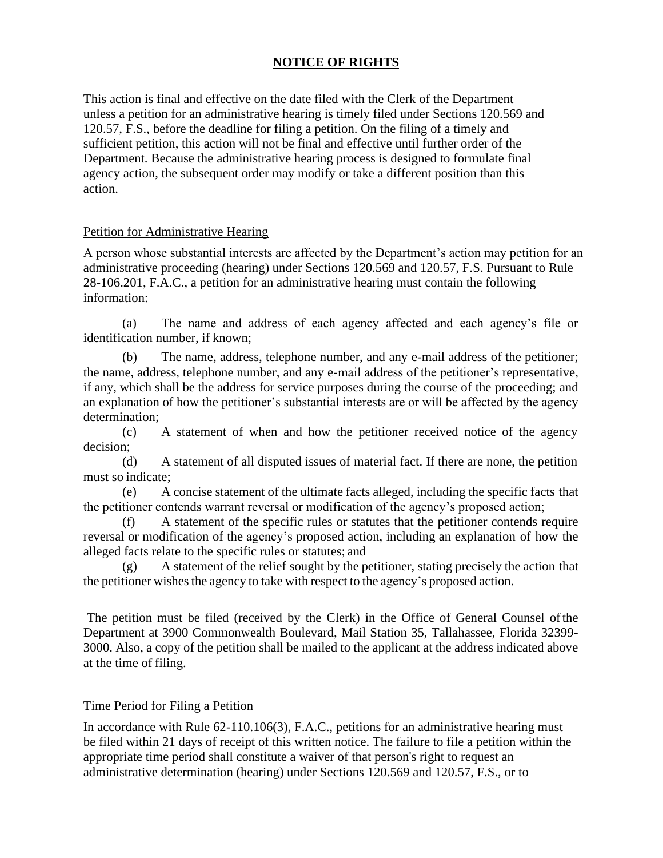# **NOTICE OF RIGHTS**

This action is final and effective on the date filed with the Clerk of the Department unless a petition for an administrative hearing is timely filed under Sections 120.569 and 120.57, F.S., before the deadline for filing a petition. On the filing of a timely and sufficient petition, this action will not be final and effective until further order of the Department. Because the administrative hearing process is designed to formulate final agency action, the subsequent order may modify or take a different position than this action.

#### Petition for Administrative Hearing

A person whose substantial interests are affected by the Department's action may petition for an administrative proceeding (hearing) under Sections 120.569 and 120.57, F.S. Pursuant to Rule 28-106.201, F.A.C., a petition for an administrative hearing must contain the following information:

(a) The name and address of each agency affected and each agency's file or identification number, if known;

The name, address, telephone number, and any e-mail address of the petitioner; the name, address, telephone number, and any e-mail address of the petitioner's representative, if any, which shall be the address for service purposes during the course of the proceeding; and an explanation of how the petitioner's substantial interests are or will be affected by the agency determination;

(c) A statement of when and how the petitioner received notice of the agency decision;

(d) A statement of all disputed issues of material fact. If there are none, the petition must so indicate;

(e) A concise statement of the ultimate facts alleged, including the specific facts that the petitioner contends warrant reversal or modification of the agency's proposed action;

(f) A statement of the specific rules or statutes that the petitioner contends require reversal or modification of the agency's proposed action, including an explanation of how the alleged facts relate to the specific rules or statutes; and

(g) A statement of the relief sought by the petitioner, stating precisely the action that the petitioner wishes the agency to take with respect to the agency's proposed action.

The petition must be filed (received by the Clerk) in the Office of General Counsel ofthe Department at 3900 Commonwealth Boulevard, Mail Station 35, Tallahassee, Florida 32399- 3000. Also, a copy of the petition shall be mailed to the applicant at the address indicated above at the time of filing.

#### Time Period for Filing a Petition

In accordance with Rule 62-110.106(3), F.A.C., petitions for an administrative hearing must be filed within 21 days of receipt of this written notice. The failure to file a petition within the appropriate time period shall constitute a waiver of that person's right to request an administrative determination (hearing) under [Sections 120.569 a](http://web2.westlaw.com/find/default.wl?ordoc=I0C7293C0912311DB8F8F8100D79B57CF&rp=%2ffind%2fdefault.wl&DB=1000006&DocName=FLSTS120%2E569&FindType=L&AP&rs=WLW9.08&ifm=NotSet&fn=_top&sv=Split&mt=Florida&utid=4&vr=2.0&pbc=38B33E51)nd 120.57, F.S., or to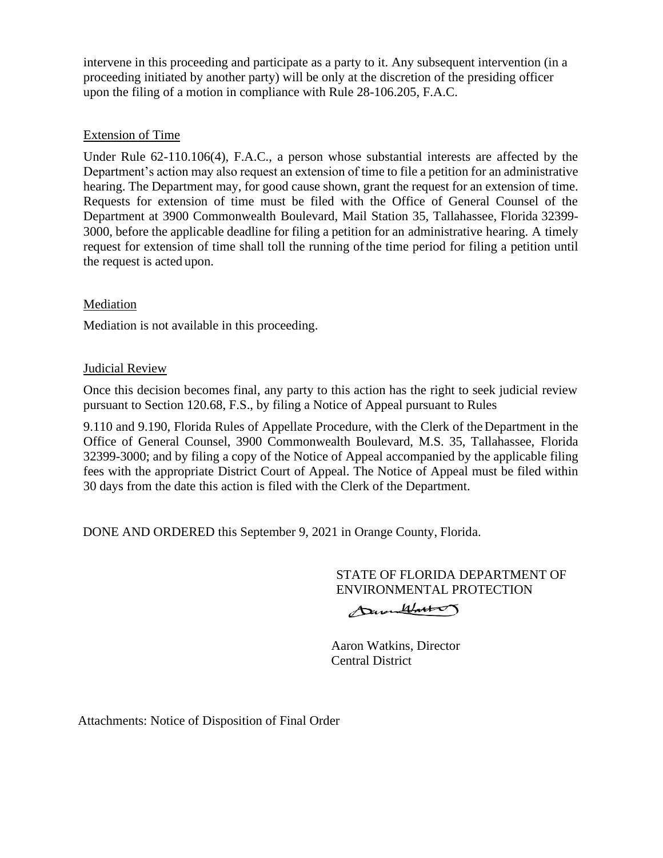intervene in this proceeding and participate as a party to it. Any subsequent intervention (in a proceeding initiated by another party) will be only at the discretion of the presiding officer upon the filing of a motion in compliance with Rule 28-106.205, F.A.C.

# Extension of Time

Under Rule 62-110.106(4), F.A.C., a person whose substantial interests are affected by the Department's action may also request an extension of time to file a petition for an administrative hearing. The Department may, for good cause shown, grant the request for an extension of time. Requests for extension of time must be filed with the Office of General Counsel of the Department at 3900 Commonwealth Boulevard, Mail Station 35, Tallahassee, Florida 32399- 3000, before the applicable deadline for filing a petition for an administrative hearing. A timely request for extension of time shall toll the running ofthe time period for filing a petition until the request is acted upon.

### Mediation

Mediation is not available in this proceeding.

# **Judicial Review**

Once this decision becomes final, any party to this action has the right to seek judicial review pursuant to Section 120.68, F.S., by filing a Notice of Appeal pursuant to Rules

9.110 and 9.190, Florida Rules of Appellate Procedure, with the Clerk of theDepartment in the Office of General Counsel, 3900 Commonwealth Boulevard, M.S. 35, Tallahassee, Florida 32399-3000; and by filing a copy of the Notice of Appeal accompanied by the applicable filing fees with the appropriate District Court of Appeal. The Notice of Appeal must be filed within 30 days from the date this action is filed with the Clerk of the Department.

DONE AND ORDERED this September 9, 2021 in Orange County, Florida.

STATE OF FLORIDA DEPARTMENT OF ENVIRONMENTAL PROTECTION

DavenWatter

 Aaron Watkins, Director Central District

Attachments: Notice of Disposition of Final Order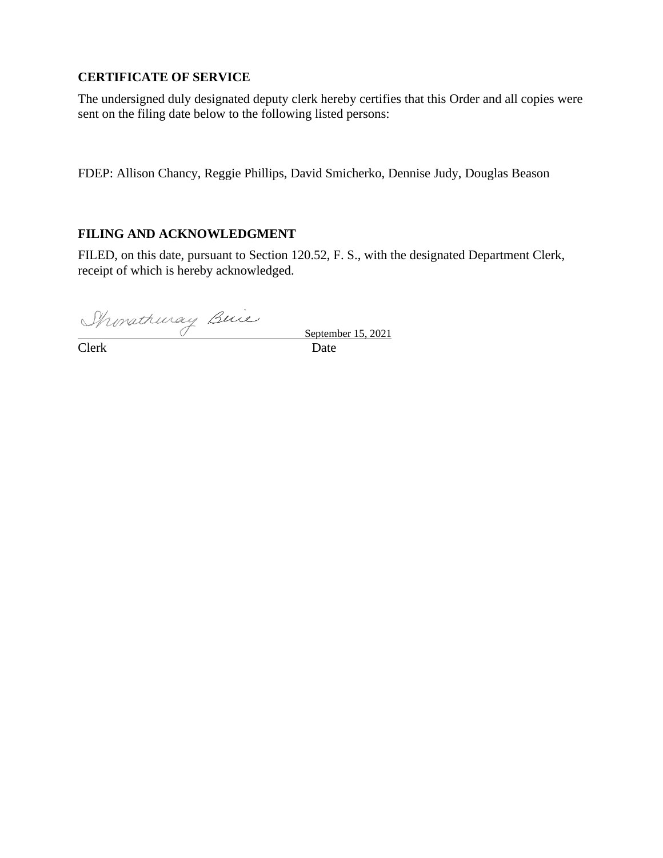# **CERTIFICATE OF SERVICE**

The undersigned duly designated deputy clerk hereby certifies that this Order and all copies were sent on the filing date below to the following listed persons:

FDEP: Allison Chancy, Reggie Phillips, David Smicherko, Dennise Judy, Douglas Beason

# **FILING AND ACKNOWLEDGMENT**

FILED, on this date, pursuant to Section 120.52, F. S., with the designated Department Clerk, receipt of which is hereby acknowledged.

Monathuray Buie

 September 15, 2021 Clerk Date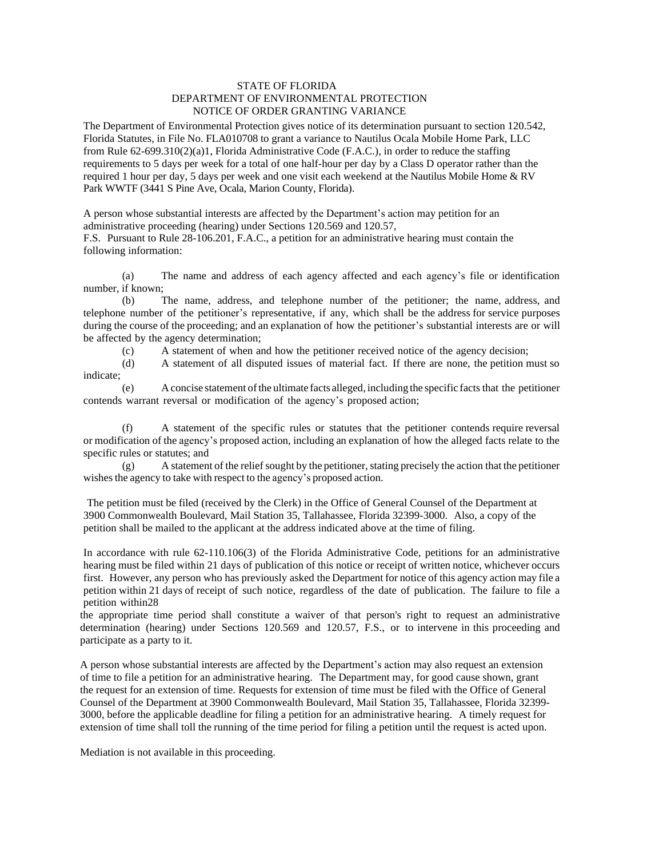#### STATE OF FLORIDA DEPARTMENT OF ENVIRONMENTAL PROTECTION NOTICE OF ORDER GRANTING VARIANCE

The Department of Environmental Protection gives notice of its determination pursuant to section 120.542, Florida Statutes, in File No. FLA010708 to grant a variance to Nautilus Ocala Mobile Home Park, LLC from Rule 62-699.310(2)(a)1, Florida Administrative Code (F.A.C.), in order to reduce the staffing requirements to 5 days per week for a total of one half-hour per day by a Class D operator rather than the required 1 hour per day, 5 days per week and one visit each weekend at the Nautilus Mobile Home & RV Park WWTF (3441 S Pine Ave, Ocala, Marion County, Florida).

A person whose substantial interests are affected by the Department's action may petition for an administrative proceeding (hearing) under Sections 120.569 and 120.57,

F.S. Pursuant to Rule 28-106.201, F.A.C., a petition for an administrative hearing must contain the following information:

(a) The name and address of each agency affected and each agency's file or identification number, if known;

(b) The name, address, and telephone number of the petitioner; the name, address, and telephone number of the petitioner's representative, if any, which shall be the address for service purposes during the course of the proceeding; and an explanation of how the petitioner's substantial interests are or will be affected by the agency determination;

(c) A statement of when and how the petitioner received notice of the agency decision;

(d) A statement of all disputed issues of material fact. If there are none, the petition must so indicate;

(e) A concise statement ofthe ultimate facts alleged, including the specific facts that the petitioner contends warrant reversal or modification of the agency's proposed action;

(f) A statement of the specific rules or statutes that the petitioner contends require reversal or modification of the agency's proposed action, including an explanation of how the alleged facts relate to the specific rules or statutes; and

 $(g)$  A statement of the relief sought by the petitioner, stating precisely the action that the petitioner wishes the agency to take with respect to the agency's proposed action.

The petition must be filed (received by the Clerk) in the Office of General Counsel of the Department at 3900 Commonwealth Boulevard, Mail Station 35, Tallahassee, Florida 32399-3000. Also, a copy of the petition shall be mailed to the applicant at the address indicated above at the time of filing.

In accordance with rule 62-110.106(3) of the Florida Administrative Code, petitions for an administrative hearing must be filed within 21 days of publication of this notice or receipt of written notice, whichever occurs first. However, any person who has previously asked the Department for notice of this agency action may file a petition within 21 days of receipt of such notice, regardless of the date of publication. The failure to file a petition within28

the appropriate time period shall constitute a waiver of that person's right to request an administrative determination (hearing) under [Sections](http://web2.westlaw.com/find/default.wl?ordoc=I0C7293C0912311DB8F8F8100D79B57CF&rp=%2ffind%2fdefault.wl&DB=1000006&DocName=FLSTS120%2E569&FindType=L&AP&rs=WLW9.08&ifm=NotSet&fn=_top&sv=Split&mt=Florida&utid=4&vr=2.0&pbc=38B33E51) 120.569 and 120.57, F.S., or to intervene in this proceeding and participate as a party to it.

A person whose substantial interests are affected by the Department's action may also request an extension of time to file a petition for an administrative hearing. The Department may, for good cause shown, grant the request for an extension of time. Requests for extension of time must be filed with the Office of General Counsel of the Department at 3900 Commonwealth Boulevard, Mail Station 35, Tallahassee, Florida 32399- 3000, before the applicable deadline for filing a petition for an administrative hearing. A timely request for extension of time shall toll the running of the time period for filing a petition until the request is acted upon.

Mediation is not available in this proceeding.